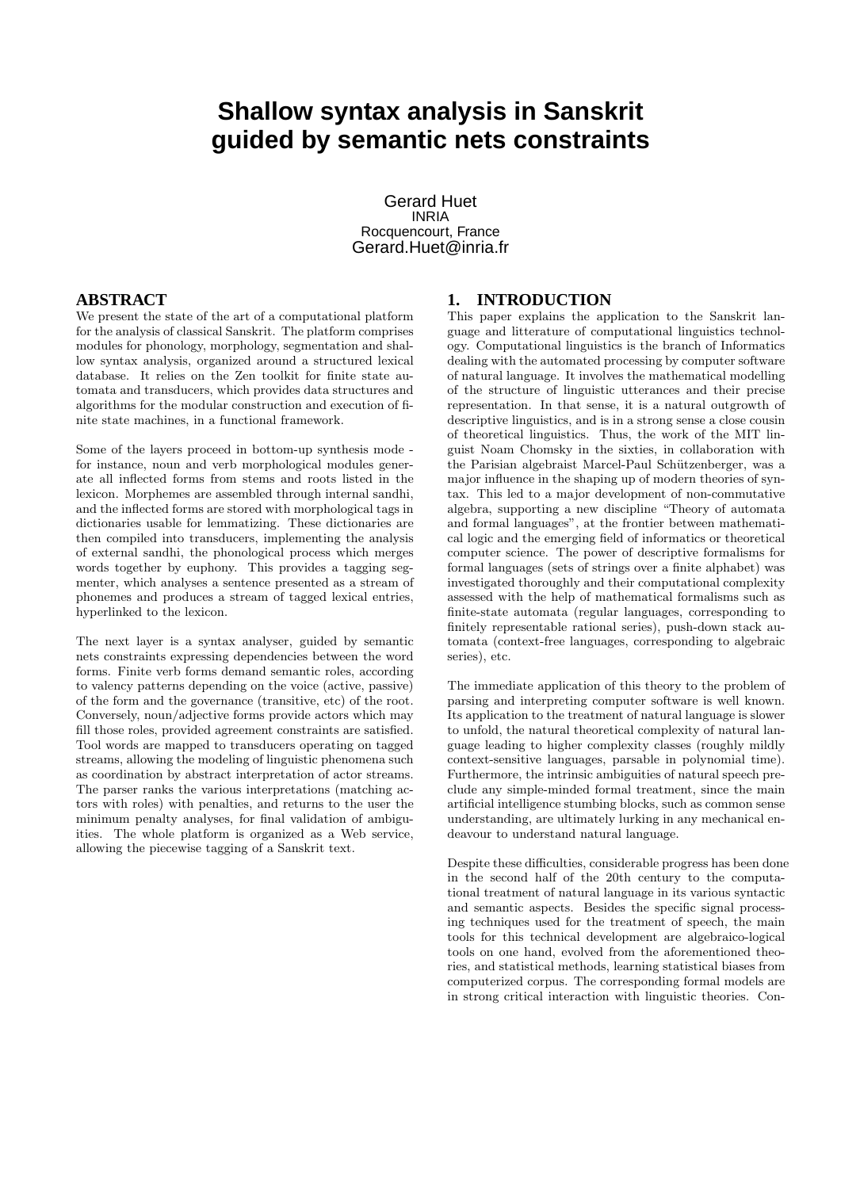# **Shallow syntax analysis in Sanskrit guided by semantic nets constraints**

Gerard Huet INRIA Rocquencourt, France Gerard.Huet@inria.fr

#### **ABSTRACT**

We present the state of the art of a computational platform for the analysis of classical Sanskrit. The platform comprises modules for phonology, morphology, segmentation and shallow syntax analysis, organized around a structured lexical database. It relies on the Zen toolkit for finite state automata and transducers, which provides data structures and algorithms for the modular construction and execution of finite state machines, in a functional framework.

Some of the layers proceed in bottom-up synthesis mode for instance, noun and verb morphological modules generate all inflected forms from stems and roots listed in the lexicon. Morphemes are assembled through internal sandhi, and the inflected forms are stored with morphological tags in dictionaries usable for lemmatizing. These dictionaries are then compiled into transducers, implementing the analysis of external sandhi, the phonological process which merges words together by euphony. This provides a tagging segmenter, which analyses a sentence presented as a stream of phonemes and produces a stream of tagged lexical entries, hyperlinked to the lexicon.

The next layer is a syntax analyser, guided by semantic nets constraints expressing dependencies between the word forms. Finite verb forms demand semantic roles, according to valency patterns depending on the voice (active, passive) of the form and the governance (transitive, etc) of the root. Conversely, noun/adjective forms provide actors which may fill those roles, provided agreement constraints are satisfied. Tool words are mapped to transducers operating on tagged streams, allowing the modeling of linguistic phenomena such as coordination by abstract interpretation of actor streams. The parser ranks the various interpretations (matching actors with roles) with penalties, and returns to the user the minimum penalty analyses, for final validation of ambiguities. The whole platform is organized as a Web service, allowing the piecewise tagging of a Sanskrit text.

#### **1. INTRODUCTION**

This paper explains the application to the Sanskrit language and litterature of computational linguistics technology. Computational linguistics is the branch of Informatics dealing with the automated processing by computer software of natural language. It involves the mathematical modelling of the structure of linguistic utterances and their precise representation. In that sense, it is a natural outgrowth of descriptive linguistics, and is in a strong sense a close cousin of theoretical linguistics. Thus, the work of the MIT linguist Noam Chomsky in the sixties, in collaboration with the Parisian algebraist Marcel-Paul Schützenberger, was a major influence in the shaping up of modern theories of syntax. This led to a major development of non-commutative algebra, supporting a new discipline "Theory of automata and formal languages", at the frontier between mathematical logic and the emerging field of informatics or theoretical computer science. The power of descriptive formalisms for formal languages (sets of strings over a finite alphabet) was investigated thoroughly and their computational complexity assessed with the help of mathematical formalisms such as finite-state automata (regular languages, corresponding to finitely representable rational series), push-down stack automata (context-free languages, corresponding to algebraic series), etc.

The immediate application of this theory to the problem of parsing and interpreting computer software is well known. Its application to the treatment of natural language is slower to unfold, the natural theoretical complexity of natural language leading to higher complexity classes (roughly mildly context-sensitive languages, parsable in polynomial time). Furthermore, the intrinsic ambiguities of natural speech preclude any simple-minded formal treatment, since the main artificial intelligence stumbing blocks, such as common sense understanding, are ultimately lurking in any mechanical endeavour to understand natural language.

Despite these difficulties, considerable progress has been done in the second half of the 20th century to the computational treatment of natural language in its various syntactic and semantic aspects. Besides the specific signal processing techniques used for the treatment of speech, the main tools for this technical development are algebraico-logical tools on one hand, evolved from the aforementioned theories, and statistical methods, learning statistical biases from computerized corpus. The corresponding formal models are in strong critical interaction with linguistic theories. Con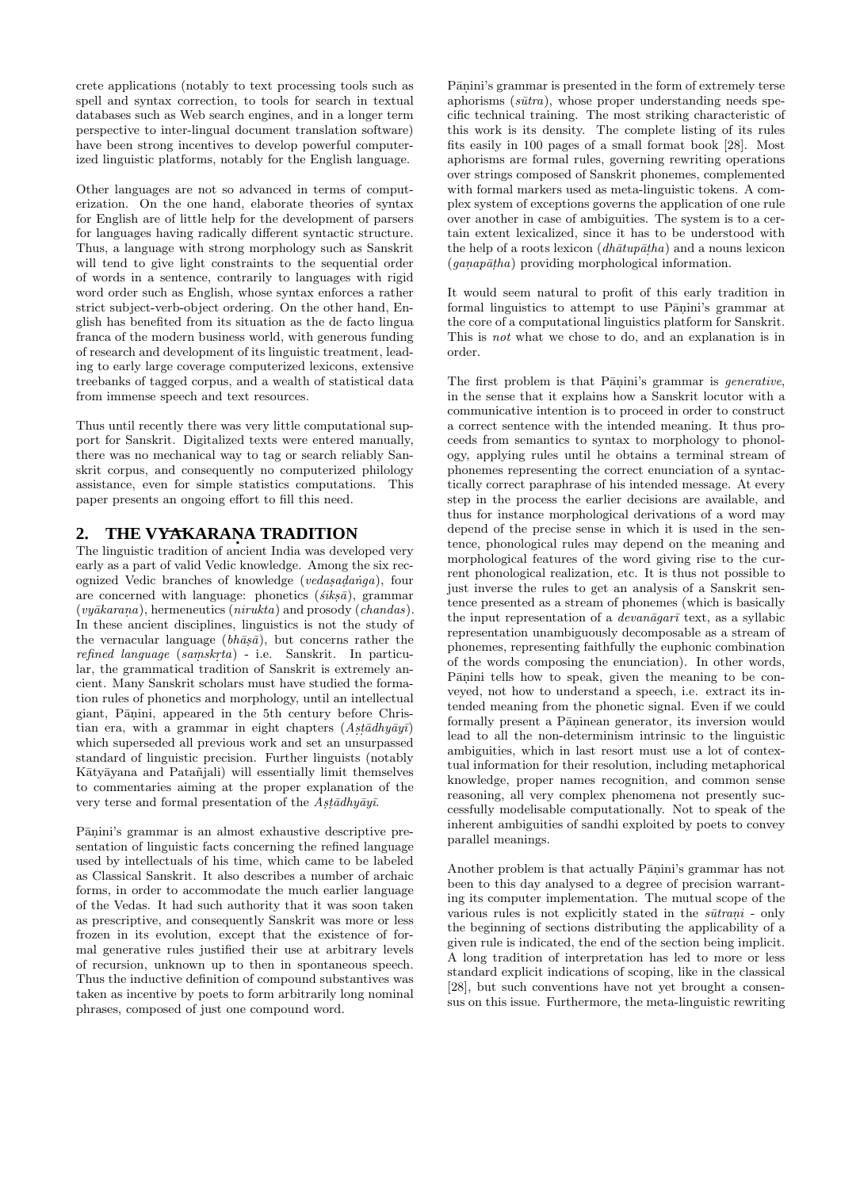crete applications (notably to text processing tools such as spell and syntax correction, to tools for search in textual databases such as Web search engines, and in a longer term perspective to inter-lingual document translation software) have been strong incentives to develop powerful computerized linguistic platforms, notably for the English language.

Other languages are not so advanced in terms of computerization. On the one hand, elaborate theories of syntax for English are of little help for the development of parsers for languages having radically different syntactic structure. Thus, a language with strong morphology such as Sanskrit will tend to give light constraints to the sequential order of words in a sentence, contrarily to languages with rigid word order such as English, whose syntax enforces a rather strict subject-verb-object ordering. On the other hand, English has benefited from its situation as the de facto lingua franca of the modern business world, with generous funding of research and development of its linguistic treatment, leading to early large coverage computerized lexicons, extensive treebanks of tagged corpus, and a wealth of statistical data from immense speech and text resources.

Thus until recently there was very little computational support for Sanskrit. Digitalized texts were entered manually, there was no mechanical way to tag or search reliably Sanskrit corpus, and consequently no computerized philology assistance, even for simple statistics computations. This paper presents an ongoing effort to fill this need.

# **2. THE VYAKARANA TRADITION**

The linguistic tradition of ancient India was developed very early as a part of valid Vedic knowledge. Among the six recognized Vedic branches of knowledge ( $vedasada\nu$ a), four are concerned with language: phonetics  $({\acute{s}}ik{\acute{s}}\bar{a})$ , grammar  $(vy\bar{a}karana)$ , hermeneutics  $(nirukta)$  and prosody  $(chandas)$ . In these ancient disciplines, linguistics is not the study of the vernacular language ( $bh\bar{a}s\bar{a}$ ), but concerns rather the refined language (samskrta) - i.e. Sanskrit. In particular, the grammatical tradition of Sanskrit is extremely ancient. Many Sanskrit scholars must have studied the formation rules of phonetics and morphology, until an intellectual giant, Pāṇini, appeared in the 5th century before Christian era, with a grammar in eight chapters  $(Ast\bar{a}dhy\bar{a}y\bar{i})$ which superseded all previous work and set an unsurpassed standard of linguistic precision. Further linguists (notably Kātyāyana and Patañjali) will essentially limit themselves to commentaries aiming at the proper explanation of the very terse and formal presentation of the  $A$ stadhyayī.

Pāṇini's grammar is an almost exhaustive descriptive presentation of linguistic facts concerning the refined language used by intellectuals of his time, which came to be labeled as Classical Sanskrit. It also describes a number of archaic forms, in order to accommodate the much earlier language of the Vedas. It had such authority that it was soon taken as prescriptive, and consequently Sanskrit was more or less frozen in its evolution, except that the existence of formal generative rules justified their use at arbitrary levels of recursion, unknown up to then in spontaneous speech. Thus the inductive definition of compound substantives was taken as incentive by poets to form arbitrarily long nominal phrases, composed of just one compound word.

Pāṇini's grammar is presented in the form of extremely terse aphorisms  $(s\bar{u}tra)$ , whose proper understanding needs specific technical training. The most striking characteristic of this work is its density. The complete listing of its rules fits easily in 100 pages of a small format book [28]. Most aphorisms are formal rules, governing rewriting operations over strings composed of Sanskrit phonemes, complemented with formal markers used as meta-linguistic tokens. A complex system of exceptions governs the application of one rule over another in case of ambiguities. The system is to a certain extent lexicalized, since it has to be understood with the help of a roots lexicon  $(dh\bar{a}tup\bar{a}tha)$  and a nouns lexicon  $(qanap\bar{a}tha)$  providing morphological information.

It would seem natural to profit of this early tradition in formal linguistics to attempt to use Pāṇini's grammar at the core of a computational linguistics platform for Sanskrit. This is not what we chose to do, and an explanation is in order.

The first problem is that Pāṇini's grammar is *generative*, in the sense that it explains how a Sanskrit locutor with a communicative intention is to proceed in order to construct a correct sentence with the intended meaning. It thus proceeds from semantics to syntax to morphology to phonology, applying rules until he obtains a terminal stream of phonemes representing the correct enunciation of a syntactically correct paraphrase of his intended message. At every step in the process the earlier decisions are available, and thus for instance morphological derivations of a word may depend of the precise sense in which it is used in the sentence, phonological rules may depend on the meaning and morphological features of the word giving rise to the current phonological realization, etc. It is thus not possible to just inverse the rules to get an analysis of a Sanskrit sentence presented as a stream of phonemes (which is basically the input representation of a *devanagar* $\bar{i}$  text, as a syllabic representation unambiguously decomposable as a stream of phonemes, representing faithfully the euphonic combination of the words composing the enunciation). In other words, Pāṇini tells how to speak, given the meaning to be conveyed, not how to understand a speech, i.e. extract its intended meaning from the phonetic signal. Even if we could formally present a Pāṇinean generator, its inversion would lead to all the non-determinism intrinsic to the linguistic ambiguities, which in last resort must use a lot of contextual information for their resolution, including metaphorical knowledge, proper names recognition, and common sense reasoning, all very complex phenomena not presently successfully modelisable computationally. Not to speak of the inherent ambiguities of sandhi exploited by poets to convey parallel meanings.

Another problem is that actually Pāṇini's grammar has not been to this day analysed to a degree of precision warranting its computer implementation. The mutual scope of the various rules is not explicitly stated in the  $s\bar{u}$ trani - only the beginning of sections distributing the applicability of a given rule is indicated, the end of the section being implicit. A long tradition of interpretation has led to more or less standard explicit indications of scoping, like in the classical [28], but such conventions have not yet brought a consensus on this issue. Furthermore, the meta-linguistic rewriting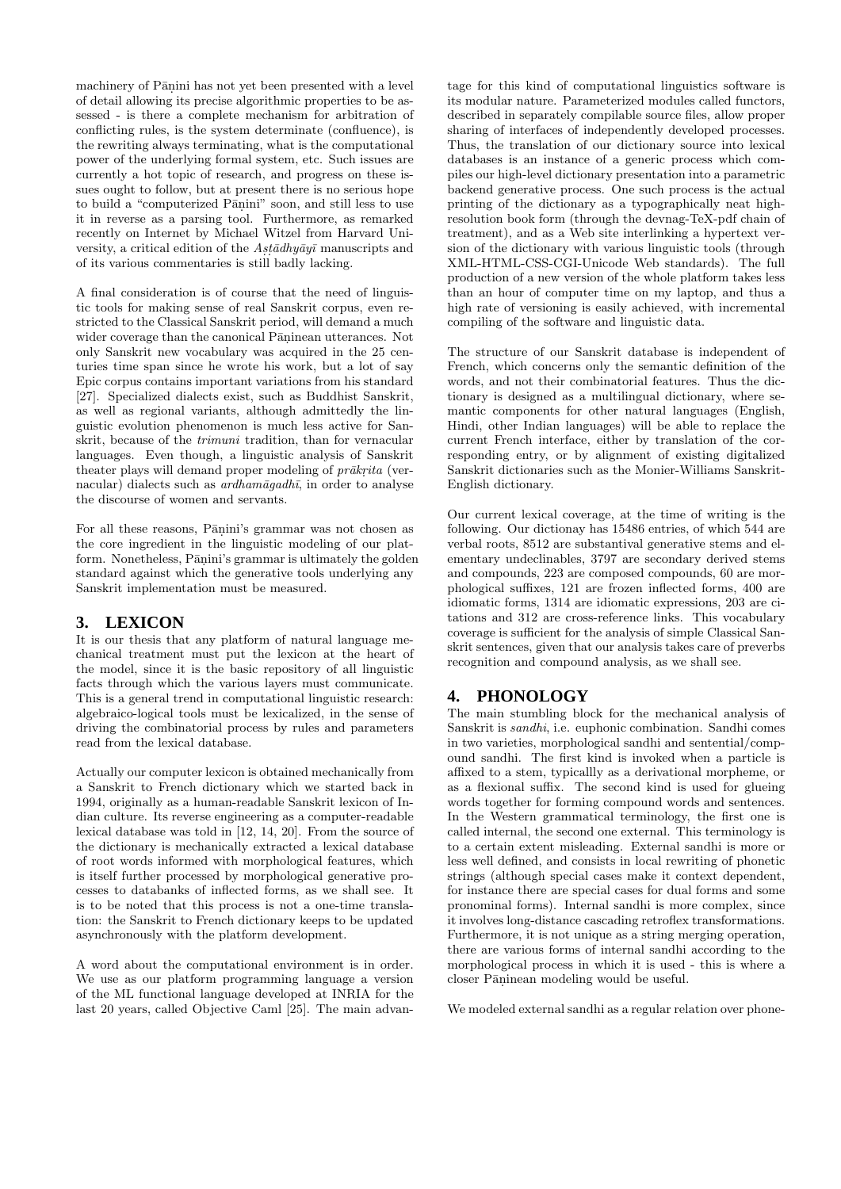machinery of Pāṇini has not yet been presented with a level of detail allowing its precise algorithmic properties to be assessed - is there a complete mechanism for arbitration of conflicting rules, is the system determinate (confluence), is the rewriting always terminating, what is the computational power of the underlying formal system, etc. Such issues are currently a hot topic of research, and progress on these issues ought to follow, but at present there is no serious hope to build a "computerized Pāṇini" soon, and still less to use it in reverse as a parsing tool. Furthermore, as remarked recently on Internet by Michael Witzel from Harvard University, a critical edition of the  $\text{A}$ stadhyay<sub> $\bar{u}$ </sub> manuscripts and of its various commentaries is still badly lacking.

A final consideration is of course that the need of linguistic tools for making sense of real Sanskrit corpus, even restricted to the Classical Sanskrit period, will demand a much wider coverage than the canonical Pāṇinean utterances. Not only Sanskrit new vocabulary was acquired in the 25 centuries time span since he wrote his work, but a lot of say Epic corpus contains important variations from his standard [27]. Specialized dialects exist, such as Buddhist Sanskrit, as well as regional variants, although admittedly the linguistic evolution phenomenon is much less active for Sanskrit, because of the trimuni tradition, than for vernacular languages. Even though, a linguistic analysis of Sanskrit theater plays will demand proper modeling of  $prākrita$  (vernacular) dialects such as  $\alpha r dham\bar{a}gadh\bar{i}$ , in order to analyse the discourse of women and servants.

For all these reasons, Pāṇini's grammar was not chosen as the core ingredient in the linguistic modeling of our platform. Nonetheless, Pāṇini's grammar is ultimately the golden standard against which the generative tools underlying any Sanskrit implementation must be measured.

### **3. LEXICON**

It is our thesis that any platform of natural language mechanical treatment must put the lexicon at the heart of the model, since it is the basic repository of all linguistic facts through which the various layers must communicate. This is a general trend in computational linguistic research: algebraico-logical tools must be lexicalized, in the sense of driving the combinatorial process by rules and parameters read from the lexical database.

Actually our computer lexicon is obtained mechanically from a Sanskrit to French dictionary which we started back in 1994, originally as a human-readable Sanskrit lexicon of Indian culture. Its reverse engineering as a computer-readable lexical database was told in [12, 14, 20]. From the source of the dictionary is mechanically extracted a lexical database of root words informed with morphological features, which is itself further processed by morphological generative processes to databanks of inflected forms, as we shall see. It is to be noted that this process is not a one-time translation: the Sanskrit to French dictionary keeps to be updated asynchronously with the platform development.

A word about the computational environment is in order. We use as our platform programming language a version of the ML functional language developed at INRIA for the last 20 years, called Objective Caml [25]. The main advan-

tage for this kind of computational linguistics software is its modular nature. Parameterized modules called functors, described in separately compilable source files, allow proper sharing of interfaces of independently developed processes. Thus, the translation of our dictionary source into lexical databases is an instance of a generic process which compiles our high-level dictionary presentation into a parametric backend generative process. One such process is the actual printing of the dictionary as a typographically neat highresolution book form (through the devnag-TeX-pdf chain of treatment), and as a Web site interlinking a hypertext version of the dictionary with various linguistic tools (through XML-HTML-CSS-CGI-Unicode Web standards). The full production of a new version of the whole platform takes less than an hour of computer time on my laptop, and thus a high rate of versioning is easily achieved, with incremental compiling of the software and linguistic data.

The structure of our Sanskrit database is independent of French, which concerns only the semantic definition of the words, and not their combinatorial features. Thus the dictionary is designed as a multilingual dictionary, where semantic components for other natural languages (English, Hindi, other Indian languages) will be able to replace the current French interface, either by translation of the corresponding entry, or by alignment of existing digitalized Sanskrit dictionaries such as the Monier-Williams Sanskrit-English dictionary.

Our current lexical coverage, at the time of writing is the following. Our dictionay has 15486 entries, of which 544 are verbal roots, 8512 are substantival generative stems and elementary undeclinables, 3797 are secondary derived stems and compounds, 223 are composed compounds, 60 are morphological suffixes, 121 are frozen inflected forms, 400 are idiomatic forms, 1314 are idiomatic expressions, 203 are citations and 312 are cross-reference links. This vocabulary coverage is sufficient for the analysis of simple Classical Sanskrit sentences, given that our analysis takes care of preverbs recognition and compound analysis, as we shall see.

# **4. PHONOLOGY**

The main stumbling block for the mechanical analysis of Sanskrit is sandhi, i.e. euphonic combination. Sandhi comes in two varieties, morphological sandhi and sentential/compound sandhi. The first kind is invoked when a particle is affixed to a stem, typicallly as a derivational morpheme, or as a flexional suffix. The second kind is used for glueing words together for forming compound words and sentences. In the Western grammatical terminology, the first one is called internal, the second one external. This terminology is to a certain extent misleading. External sandhi is more or less well defined, and consists in local rewriting of phonetic strings (although special cases make it context dependent, for instance there are special cases for dual forms and some pronominal forms). Internal sandhi is more complex, since it involves long-distance cascading retroflex transformations. Furthermore, it is not unique as a string merging operation, there are various forms of internal sandhi according to the morphological process in which it is used - this is where a closer Pāṇinean modeling would be useful.

We modeled external sandhi as a regular relation over phone-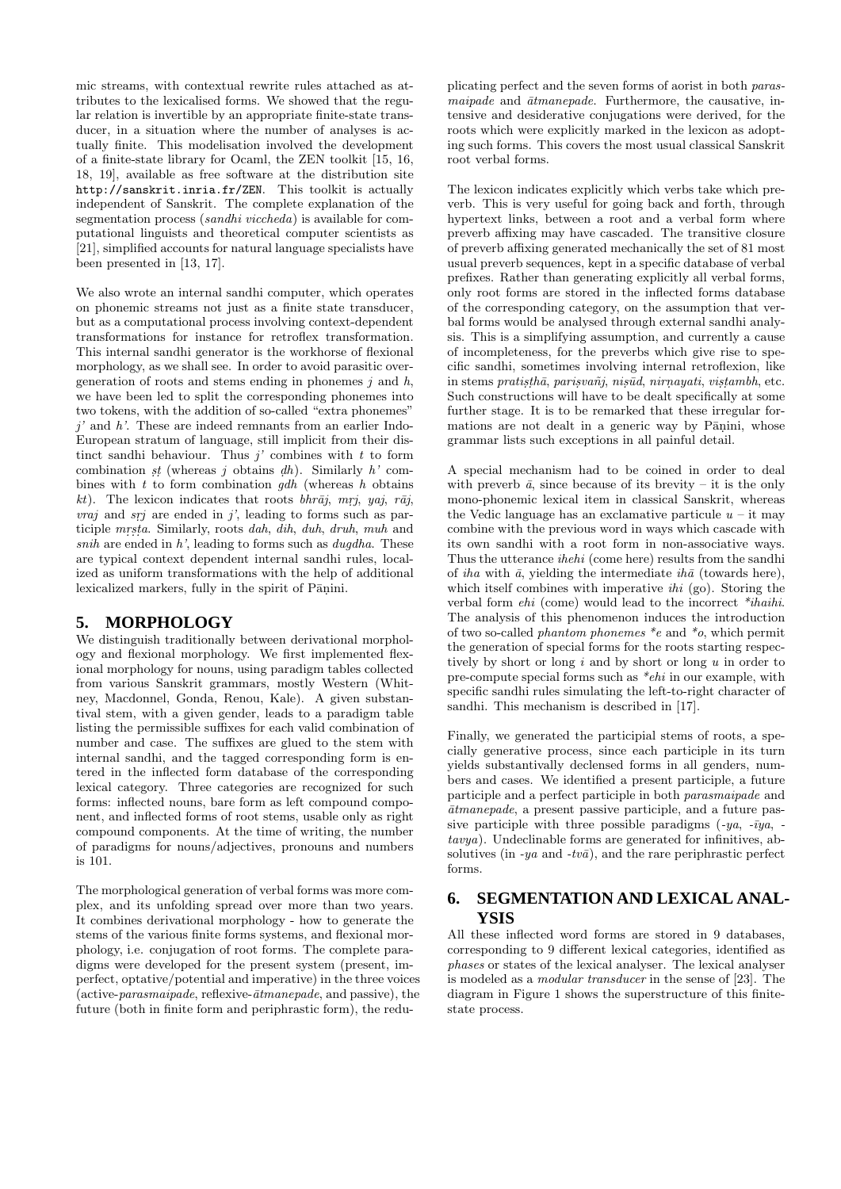mic streams, with contextual rewrite rules attached as attributes to the lexicalised forms. We showed that the regular relation is invertible by an appropriate finite-state transducer, in a situation where the number of analyses is actually finite. This modelisation involved the development of a finite-state library for Ocaml, the ZEN toolkit [15, 16, 18, 19], available as free software at the distribution site http://sanskrit.inria.fr/ZEN. This toolkit is actually independent of Sanskrit. The complete explanation of the segmentation process (sandhi viccheda) is available for computational linguists and theoretical computer scientists as [21], simplified accounts for natural language specialists have been presented in [13, 17].

We also wrote an internal sandhi computer, which operates on phonemic streams not just as a finite state transducer, but as a computational process involving context-dependent transformations for instance for retroflex transformation. This internal sandhi generator is the workhorse of flexional morphology, as we shall see. In order to avoid parasitic overgeneration of roots and stems ending in phonemes  $j$  and  $h$ , we have been led to split the corresponding phonemes into two tokens, with the addition of so-called "extra phonemes"  $j'$  and  $h'$ . These are indeed remnants from an earlier Indo-European stratum of language, still implicit from their distinct sandhi behaviour. Thus  $j'$  combines with  $t$  to form combination  $st$  (whereas j obtains  $dh$ ). Similarly  $h$ ' combines with  $t$  to form combination  $gdh$  (whereas  $h$  obtains  $(kt)$ . The lexicon indicates that roots  $bhr\bar{a}j$ ,  $mrj$ ,  $yaj$ ,  $r\bar{a}j$ , *vraj* and *srj* are ended in  $j'$ , leading to forms such as participle mrsta. Similarly, roots dah, dih, duh, druh, muh and snih are ended in  $h'$ , leading to forms such as  $duqdha$ . These are typical context dependent internal sandhi rules, localized as uniform transformations with the help of additional lexicalized markers, fully in the spirit of Pānini.

# **5. MORPHOLOGY**

We distinguish traditionally between derivational morphology and flexional morphology. We first implemented flexional morphology for nouns, using paradigm tables collected from various Sanskrit grammars, mostly Western (Whitney, Macdonnel, Gonda, Renou, Kale). A given substantival stem, with a given gender, leads to a paradigm table listing the permissible suffixes for each valid combination of number and case. The suffixes are glued to the stem with internal sandhi, and the tagged corresponding form is entered in the inflected form database of the corresponding lexical category. Three categories are recognized for such forms: inflected nouns, bare form as left compound component, and inflected forms of root stems, usable only as right compound components. At the time of writing, the number of paradigms for nouns/adjectives, pronouns and numbers is 101.

The morphological generation of verbal forms was more complex, and its unfolding spread over more than two years. It combines derivational morphology - how to generate the stems of the various finite forms systems, and flexional morphology, i.e. conjugation of root forms. The complete paradigms were developed for the present system (present, imperfect, optative/potential and imperative) in the three voices  $(\text{active-}paramaipade, \text{reflexive-}atmanepade, \text{and passive}),$  the future (both in finite form and periphrastic form), the redu-

plicating perfect and the seven forms of aorist in both paras $maipade$  and  $\bar{a}tmanepade$ . Furthermore, the causative, intensive and desiderative conjugations were derived, for the roots which were explicitly marked in the lexicon as adopting such forms. This covers the most usual classical Sanskrit root verbal forms.

The lexicon indicates explicitly which verbs take which preverb. This is very useful for going back and forth, through hypertext links, between a root and a verbal form where preverb affixing may have cascaded. The transitive closure of preverb affixing generated mechanically the set of 81 most usual preverb sequences, kept in a specific database of verbal prefixes. Rather than generating explicitly all verbal forms, only root forms are stored in the inflected forms database of the corresponding category, on the assumption that verbal forms would be analysed through external sandhi analysis. This is a simplifying assumption, and currently a cause of incompleteness, for the preverbs which give rise to specific sandhi, sometimes involving internal retroflexion, like  $\dot{m}$  stems pratisthā, parisvañj, nis $\bar{u}d$ , nirnayati, vistambh, etc. Such constructions will have to be dealt specifically at some further stage. It is to be remarked that these irregular formations are not dealt in a generic way by Pāṇini, whose grammar lists such exceptions in all painful detail.

A special mechanism had to be coined in order to deal with preverb  $\bar{a}$ , since because of its brevity – it is the only mono-phonemic lexical item in classical Sanskrit, whereas the Vedic language has an exclamative particule  $u - it$  may combine with the previous word in ways which cascade with its own sandhi with a root form in non-associative ways. Thus the utterance ihehi (come here) results from the sandhi of *iha* with  $\bar{a}$ , yielding the intermediate *ih* $\bar{a}$  (towards here), which itself combines with imperative *ihi* (go). Storing the verbal form ehi (come) would lead to the incorrect \*ihaihi. The analysis of this phenomenon induces the introduction of two so-called phantom phonemes \*e and \*o, which permit the generation of special forms for the roots starting respectively by short or long  $i$  and by short or long  $u$  in order to pre-compute special forms such as \*ehi in our example, with specific sandhi rules simulating the left-to-right character of sandhi. This mechanism is described in [17].

Finally, we generated the participial stems of roots, a specially generative process, since each participle in its turn yields substantivally declensed forms in all genders, numbers and cases. We identified a present participle, a future participle and a perfect participle in both parasmaipade and  $\bar{a}tmanepade$ , a present passive participle, and a future passive participle with three possible paradigms  $(-ya, -\overline{y}ya, -\overline{z}ya, -\overline{z}yaa)$ tavya). Undeclinable forms are generated for infinitives, absolutives (in  $-ya$  and  $-tv\bar{a}$ ), and the rare periphrastic perfect forms.

### **6. SEGMENTATION AND LEXICAL ANAL-YSIS**

All these inflected word forms are stored in 9 databases, corresponding to 9 different lexical categories, identified as phases or states of the lexical analyser. The lexical analyser is modeled as a modular transducer in the sense of [23]. The diagram in Figure 1 shows the superstructure of this finitestate process.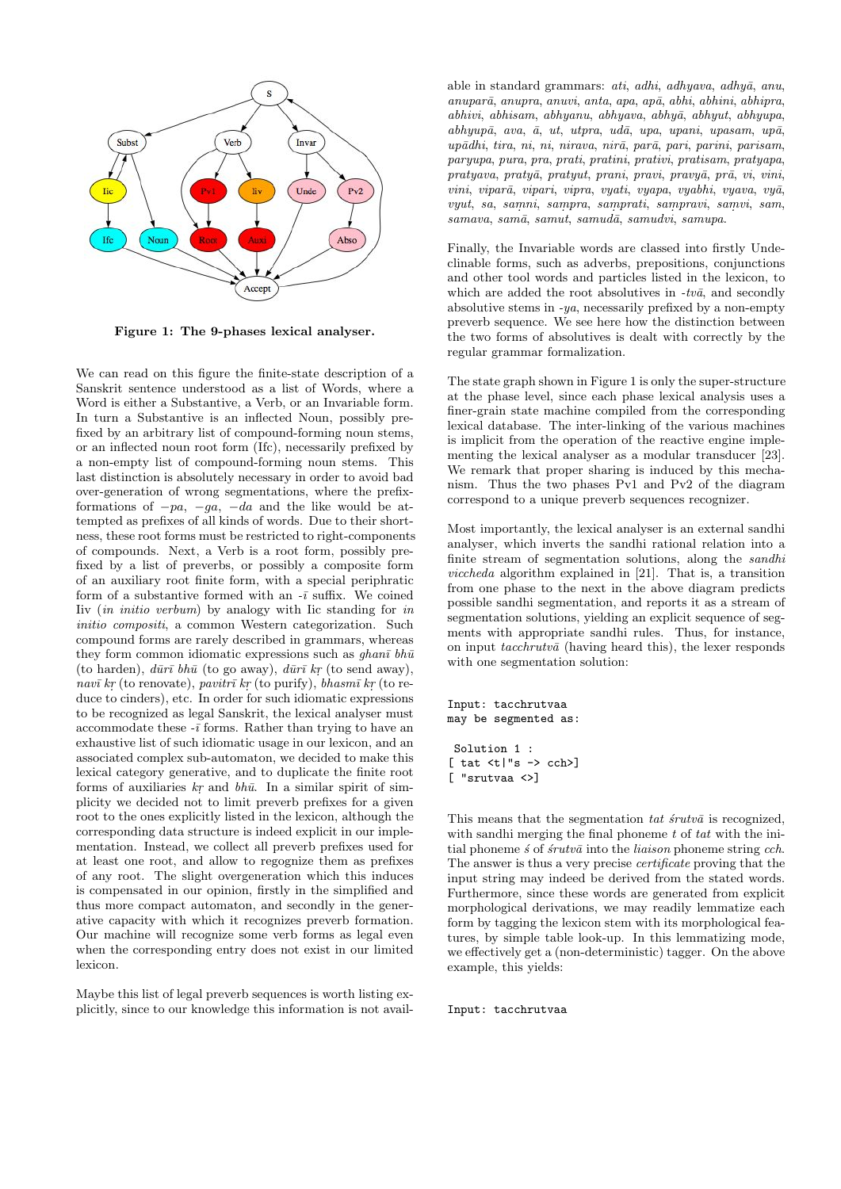

Figure 1: The 9-phases lexical analyser.

We can read on this figure the finite-state description of a Sanskrit sentence understood as a list of Words, where a Word is either a Substantive, a Verb, or an Invariable form. In turn a Substantive is an inflected Noun, possibly prefixed by an arbitrary list of compound-forming noun stems, or an inflected noun root form (Ifc), necessarily prefixed by a non-empty list of compound-forming noun stems. This last distinction is absolutely necessary in order to avoid bad over-generation of wrong segmentations, where the prefixformations of  $-pa$ ,  $-qa$ ,  $-da$  and the like would be attempted as prefixes of all kinds of words. Due to their shortness, these root forms must be restricted to right-components of compounds. Next, a Verb is a root form, possibly prefixed by a list of preverbs, or possibly a composite form of an auxiliary root finite form, with a special periphratic form of a substantive formed with an  $-\bar{i}$  suffix. We coined Iiv (in initio verbum) by analogy with Iic standing for in initio compositi, a common Western categorization. Such compound forms are rarely described in grammars, whereas they form common idiomatic expressions such as  $\eta h a \bar{u}$ (to harden),  $d\bar{u}r\bar{i} b\hbar\bar{u}$  (to go away),  $d\bar{u}r\bar{i} k\dot{r}$  (to send away),  $\it{navi\,kr}$  (to renovate),  $\it{payitr\bar{\imath}\,kr}$  (to purify),  $\it{bhasm\bar{\imath}\,kr}$  (to reduce to cinders), etc. In order for such idiomatic expressions to be recognized as legal Sanskrit, the lexical analyser must accommodate these  $-\bar{i}$  forms. Rather than trying to have an exhaustive list of such idiomatic usage in our lexicon, and an associated complex sub-automaton, we decided to make this lexical category generative, and to duplicate the finite root forms of auxiliaries  $kr$  and  $bh\bar{u}$ . In a similar spirit of simplicity we decided not to limit preverb prefixes for a given root to the ones explicitly listed in the lexicon, although the corresponding data structure is indeed explicit in our implementation. Instead, we collect all preverb prefixes used for at least one root, and allow to regognize them as prefixes of any root. The slight overgeneration which this induces is compensated in our opinion, firstly in the simplified and thus more compact automaton, and secondly in the generative capacity with which it recognizes preverb formation. Our machine will recognize some verb forms as legal even when the corresponding entry does not exist in our limited lexicon.

Maybe this list of legal preverb sequences is worth listing explicitly, since to our knowledge this information is not available in standard grammars:  $ati$ ,  $adhi$ ,  $adhyava$ ,  $adhy\bar{a}$ ,  $anu$ , anuparā, anupra, anuvi, anta, apa, apā, abhi, abhini, abhipra,  $abhivi$ , abhisam, abhyanu, abhyava, abhya, abhyut, abhyupa,  $abhyup\bar{a}$ , ava,  $\bar{a}$ , ut, utpra, ud $\bar{a}$ , upa, upani, upasam, up $\bar{a}$ , up¯adhi, tira, ni, ni, nirava, nir¯a, par¯a, pari, parini, parisam, paryupa, pura, pra, prati, pratini, prativi, pratisam, pratyapa, pratyava, pratyā, pratyut, prani, pravi, pravyā, prā, vi, vini, vini, viparā, vipari, vipra, vyati, vyapa, vyabhi, vyava, vyā, vyut, sa, samni, sampra, samprati, sampravi, samvi, sam,  $samava, sam\bar{a}, samut, samud\bar{a}, samudvi, samupa.$ 

Finally, the Invariable words are classed into firstly Undeclinable forms, such as adverbs, prepositions, conjunctions and other tool words and particles listed in the lexicon, to which are added the root absolutives in  $-tv\bar{a}$ , and secondly absolutive stems in  $-ya$ , necessarily prefixed by a non-empty preverb sequence. We see here how the distinction between the two forms of absolutives is dealt with correctly by the regular grammar formalization.

The state graph shown in Figure 1 is only the super-structure at the phase level, since each phase lexical analysis uses a finer-grain state machine compiled from the corresponding lexical database. The inter-linking of the various machines is implicit from the operation of the reactive engine implementing the lexical analyser as a modular transducer [23]. We remark that proper sharing is induced by this mechanism. Thus the two phases Pv1 and Pv2 of the diagram correspond to a unique preverb sequences recognizer.

Most importantly, the lexical analyser is an external sandhi analyser, which inverts the sandhi rational relation into a finite stream of segmentation solutions, along the sandhi viccheda algorithm explained in [21]. That is, a transition from one phase to the next in the above diagram predicts possible sandhi segmentation, and reports it as a stream of segmentation solutions, yielding an explicit sequence of segments with appropriate sandhi rules. Thus, for instance, on input tacchrutv $\bar{a}$  (having heard this), the lexer responds with one segmentation solution:

Input: tacchrutvaa may be segmented as: Solution 1 : [ tat <t|"s -> cch>] [ "srutvaa <>]

This means that the segmentation tat  $\acute{s}rutv\bar{a}$  is recognized, with sandhi merging the final phoneme  $t$  of  $tat$  with the initial phoneme  $\acute{s}$  of  $\acute{s}rutv\bar{a}$  into the *liaison* phoneme string cch. The answer is thus a very precise *certificate* proving that the input string may indeed be derived from the stated words. Furthermore, since these words are generated from explicit morphological derivations, we may readily lemmatize each form by tagging the lexicon stem with its morphological features, by simple table look-up. In this lemmatizing mode, we effectively get a (non-deterministic) tagger. On the above example, this yields:

Input: tacchrutvaa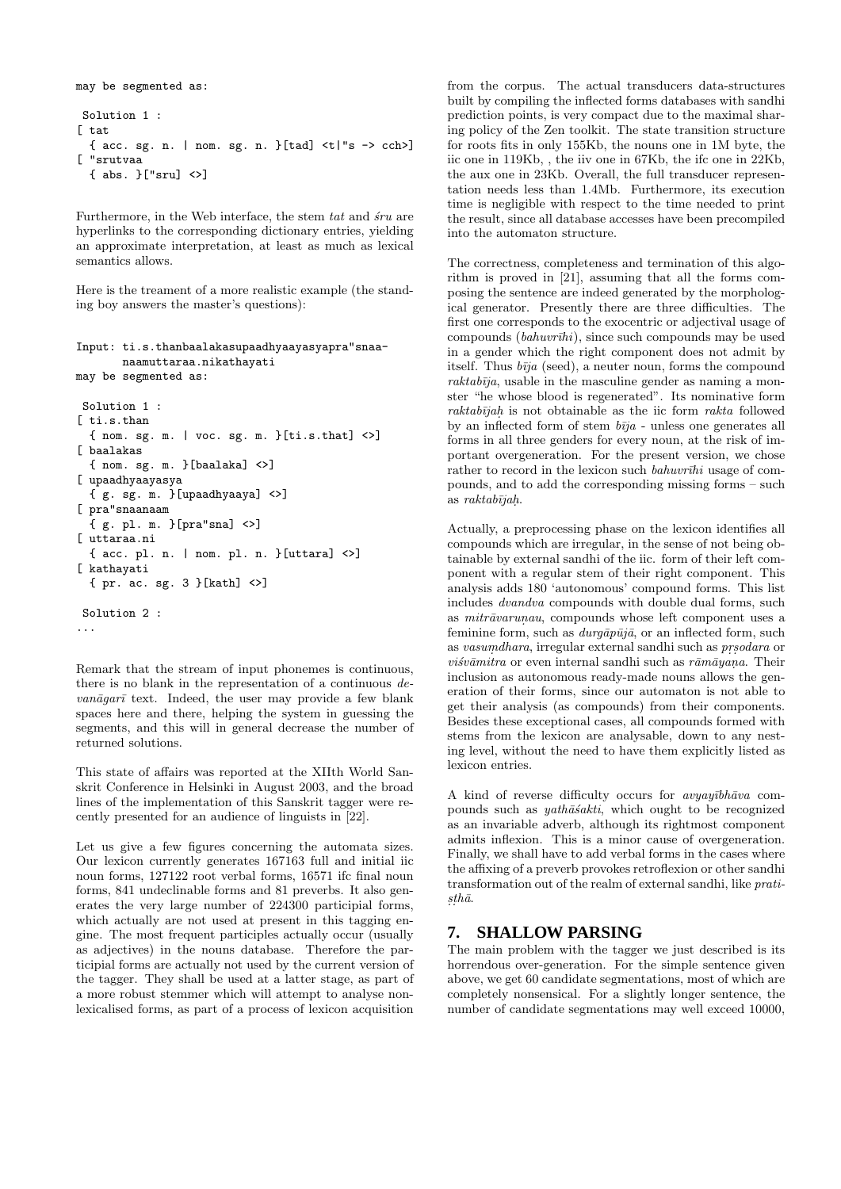```
may be segmented as:
 Solution 1 :
[ tat
  { acc. sg. n. | nom. sg. n. }[tad] <t|"s -> cch>]
[ "srutvaa
  { abs. }["sru] <>]
```
Furthermore, in the Web interface, the stem  $tat$  and  $\acute{s}ru$  are hyperlinks to the corresponding dictionary entries, yielding an approximate interpretation, at least as much as lexical semantics allows.

Here is the treament of a more realistic example (the standing boy answers the master's questions):

```
Input: ti.s.thanbaalakasupaadhyaayasyapra"snaa-
       naamuttaraa.nikathayati
may be segmented as:
Solution 1 :
[ ti.s.than
  { nom. sg. m. | voc. sg. m. }[ti.s.that] <>]
[ baalakas
  { nom. sg. m. }[baalaka] <>]
[ upaadhyaayasya
  { g. sg. m. }[upaadhyaaya] <>]
[ pra"snaanaam
  { g. pl. m. }[pra"sna] <>]
[ uttaraa.ni
  { acc. pl. n. | nom. pl. n. }[uttara] <>]
[ kathayati
 { pr. ac. sg. 3 }[kath] <>]
Solution 2 :
...
```
Remark that the stream of input phonemes is continuous, there is no blank in the representation of a continuous de $van\bar{a}gar\bar{i}$  text. Indeed, the user may provide a few blank spaces here and there, helping the system in guessing the segments, and this will in general decrease the number of returned solutions.

This state of affairs was reported at the XIIth World Sanskrit Conference in Helsinki in August 2003, and the broad lines of the implementation of this Sanskrit tagger were recently presented for an audience of linguists in [22].

Let us give a few figures concerning the automata sizes. Our lexicon currently generates 167163 full and initial iic noun forms, 127122 root verbal forms, 16571 ifc final noun forms, 841 undeclinable forms and 81 preverbs. It also generates the very large number of 224300 participial forms, which actually are not used at present in this tagging engine. The most frequent participles actually occur (usually as adjectives) in the nouns database. Therefore the participial forms are actually not used by the current version of the tagger. They shall be used at a latter stage, as part of a more robust stemmer which will attempt to analyse nonlexicalised forms, as part of a process of lexicon acquisition

from the corpus. The actual transducers data-structures built by compiling the inflected forms databases with sandhi prediction points, is very compact due to the maximal sharing policy of the Zen toolkit. The state transition structure for roots fits in only 155Kb, the nouns one in 1M byte, the iic one in 119Kb, , the iiv one in 67Kb, the ifc one in 22Kb, the aux one in 23Kb. Overall, the full transducer representation needs less than 1.4Mb. Furthermore, its execution time is negligible with respect to the time needed to print the result, since all database accesses have been precompiled into the automaton structure.

The correctness, completeness and termination of this algorithm is proved in [21], assuming that all the forms composing the sentence are indeed generated by the morphological generator. Presently there are three difficulties. The first one corresponds to the exocentric or adjectival usage of compounds  $(bahuvr\bar{u}h)$ , since such compounds may be used in a gender which the right component does not admit by itself. Thus  $b\bar{v}j a$  (seed), a neuter noun, forms the compound  $raktab\bar{i}ja$ , usable in the masculine gender as naming a monster "he whose blood is regenerated". Its nominative form  $raktab\bar{\imath}jah$  is not obtainable as the iic form  $rakta$  followed by an inflected form of stem  $b\bar{v}j\dot{a}$  - unless one generates all forms in all three genders for every noun, at the risk of important overgeneration. For the present version, we chose rather to record in the lexicon such  $\delta ah u v r \bar{u} h i$  usage of compounds, and to add the corresponding missing forms – such  $as \; raktab\bar{\iota}jah.$ 

Actually, a preprocessing phase on the lexicon identifies all compounds which are irregular, in the sense of not being obtainable by external sandhi of the iic. form of their left component with a regular stem of their right component. This analysis adds 180 'autonomous' compound forms. This list includes dvandva compounds with double dual forms, such as *mitrāvarunau*, compounds whose left component uses a feminine form, such as  $durg\bar{a}p\bar{u}j\bar{a}$ , or an inflected form, such as vasumdhara, irregular external sandhi such as *prsodara* or  $viśvāmitra$  or even internal sandhi such as  $r\bar{a}m\bar{a}yana$ . Their inclusion as autonomous ready-made nouns allows the generation of their forms, since our automaton is not able to get their analysis (as compounds) from their components. Besides these exceptional cases, all compounds formed with stems from the lexicon are analysable, down to any nesting level, without the need to have them explicitly listed as lexicon entries.

A kind of reverse difficulty occurs for  $\frac{avgay\overline{a}}{\overline{a}}$  compounds such as  $yath\bar{a}sakti$ , which ought to be recognized as an invariable adverb, although its rightmost component admits inflexion. This is a minor cause of overgeneration. Finally, we shall have to add verbal forms in the cases where the affixing of a preverb provokes retroflexion or other sandhi transformation out of the realm of external sandhi, like pratisthā.

### **7. SHALLOW PARSING**

The main problem with the tagger we just described is its horrendous over-generation. For the simple sentence given above, we get 60 candidate segmentations, most of which are completely nonsensical. For a slightly longer sentence, the number of candidate segmentations may well exceed 10000,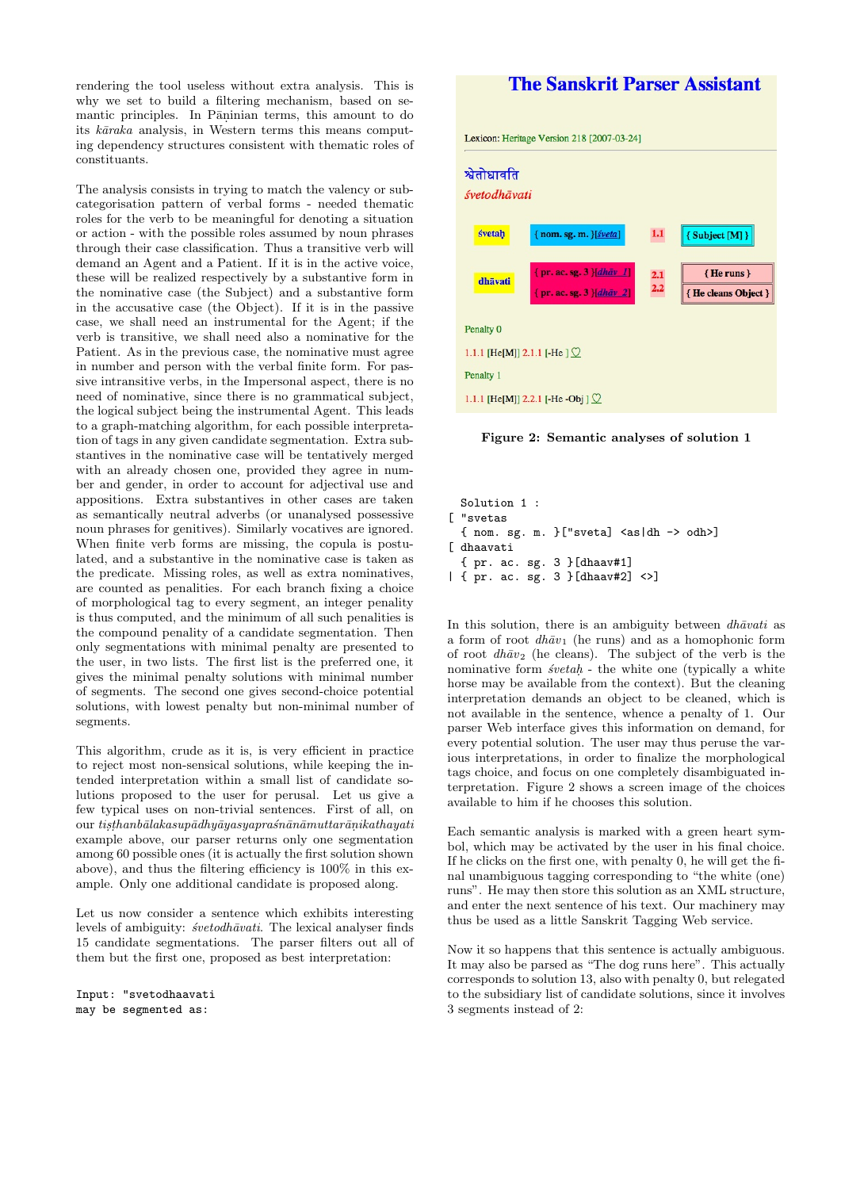rendering the tool useless without extra analysis. This is why we set to build a filtering mechanism, based on semantic principles. In Pāṇinian terms, this amount to do its  $k\bar{a}raka$  analysis, in Western terms this means computing dependency structures consistent with thematic roles of constituants.

The analysis consists in trying to match the valency or subcategorisation pattern of verbal forms - needed thematic roles for the verb to be meaningful for denoting a situation or action - with the possible roles assumed by noun phrases through their case classification. Thus a transitive verb will demand an Agent and a Patient. If it is in the active voice, these will be realized respectively by a substantive form in the nominative case (the Subject) and a substantive form in the accusative case (the Object). If it is in the passive case, we shall need an instrumental for the Agent; if the verb is transitive, we shall need also a nominative for the Patient. As in the previous case, the nominative must agree in number and person with the verbal finite form. For passive intransitive verbs, in the Impersonal aspect, there is no need of nominative, since there is no grammatical subject, the logical subject being the instrumental Agent. This leads to a graph-matching algorithm, for each possible interpretation of tags in any given candidate segmentation. Extra substantives in the nominative case will be tentatively merged with an already chosen one, provided they agree in number and gender, in order to account for adjectival use and appositions. Extra substantives in other cases are taken as semantically neutral adverbs (or unanalysed possessive noun phrases for genitives). Similarly vocatives are ignored. When finite verb forms are missing, the copula is postulated, and a substantive in the nominative case is taken as the predicate. Missing roles, as well as extra nominatives, are counted as penalities. For each branch fixing a choice of morphological tag to every segment, an integer penality is thus computed, and the minimum of all such penalities is the compound penality of a candidate segmentation. Then only segmentations with minimal penalty are presented to the user, in two lists. The first list is the preferred one, it gives the minimal penalty solutions with minimal number of segments. The second one gives second-choice potential solutions, with lowest penalty but non-minimal number of segments.

This algorithm, crude as it is, is very efficient in practice to reject most non-sensical solutions, while keeping the intended interpretation within a small list of candidate solutions proposed to the user for perusal. Let us give a few typical uses on non-trivial sentences. First of all, on  $_{\rm our\,\,t}$ isthanbālakasupādhyāyasyapraśnān $\bar{a}$ muttarā $n$ ikathaya $t$ i example above, our parser returns only one segmentation among 60 possible ones (it is actually the first solution shown above), and thus the filtering efficiency is 100% in this example. Only one additional candidate is proposed along.

Let us now consider a sentence which exhibits interesting levels of ambiguity:  $śvetodhāvati$ . The lexical analyser finds 15 candidate segmentations. The parser filters out all of them but the first one, proposed as best interpretation:

Input: "svetodhaavati may be segmented as:

# **The Sanskrit Parser Assistant**

Lexicon: Heritage Version 218 [2007-03-24]



Figure 2: Semantic analyses of solution 1

```
Solution 1 :
[ "svetas
  { nom. sg. m. }["sveta] \langle \text{as}| \text{dh} \rangle -> odh>]
[ dhaavati
  { pr. ac. sg. 3 }[dhaav#1]
| { pr. ac. sg. 3 }[dhaav#2] <>]
```
In this solution, there is an ambiguity between  $dh\bar{a}vati$  as a form of root  $dh\bar{a}v_1$  (he runs) and as a homophonic form of root  $dh\bar{a}v_2$  (he cleans). The subject of the verb is the nominative form  $\acute{s}veta$  - the white one (typically a white horse may be available from the context). But the cleaning interpretation demands an object to be cleaned, which is not available in the sentence, whence a penalty of 1. Our parser Web interface gives this information on demand, for every potential solution. The user may thus peruse the various interpretations, in order to finalize the morphological tags choice, and focus on one completely disambiguated interpretation. Figure 2 shows a screen image of the choices available to him if he chooses this solution.

Each semantic analysis is marked with a green heart symbol, which may be activated by the user in his final choice. If he clicks on the first one, with penalty 0, he will get the final unambiguous tagging corresponding to "the white (one) runs". He may then store this solution as an XML structure, and enter the next sentence of his text. Our machinery may thus be used as a little Sanskrit Tagging Web service.

Now it so happens that this sentence is actually ambiguous. It may also be parsed as "The dog runs here". This actually corresponds to solution 13, also with penalty 0, but relegated to the subsidiary list of candidate solutions, since it involves 3 segments instead of 2: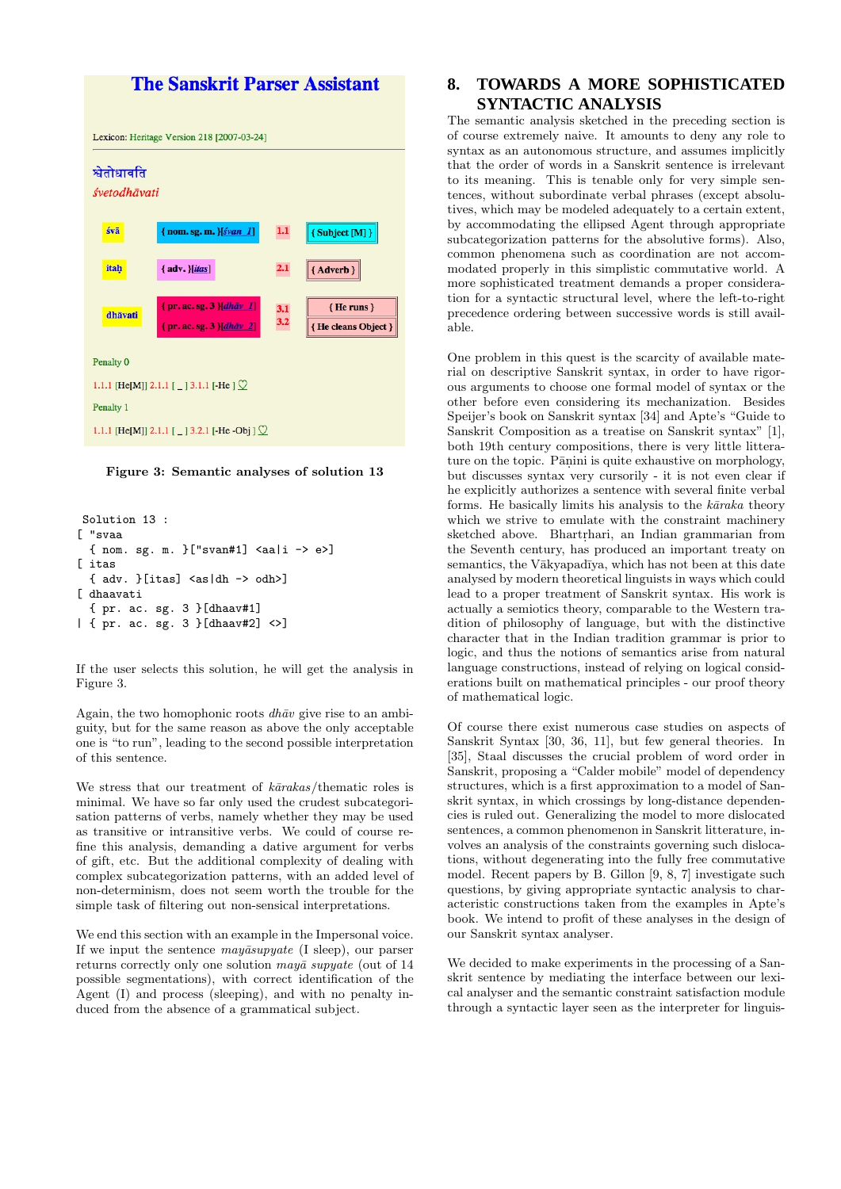

Figure 3: Semantic analyses of solution 13

```
Solution 13 :
[ "svaa
  { nom. sg. m. }["svan#1] <aa|i -> e>]
[ itas
  { adv. } [itas] \langle as|dh \rangle -> odh}
[ dhaavati
  { pr. ac. sg. 3 }[dhaav#1]
| { pr. ac. sg. 3 }[dhaav#2] <>]
```
If the user selects this solution, he will get the analysis in Figure 3.

Again, the two homophonic roots  $dh\bar{a}v$  give rise to an ambiguity, but for the same reason as above the only acceptable one is "to run", leading to the second possible interpretation of this sentence.

We stress that our treatment of  $k\bar{a}rakas$ /thematic roles is minimal. We have so far only used the crudest subcategorisation patterns of verbs, namely whether they may be used as transitive or intransitive verbs. We could of course refine this analysis, demanding a dative argument for verbs of gift, etc. But the additional complexity of dealing with complex subcategorization patterns, with an added level of non-determinism, does not seem worth the trouble for the simple task of filtering out non-sensical interpretations.

We end this section with an example in the Impersonal voice. If we input the sentence  $may\bar{a}supy\bar{a}te$  (I sleep), our parser returns correctly only one solution  $may\bar{a} \, supy\bar{a}t$  (out of 14 possible segmentations), with correct identification of the Agent (I) and process (sleeping), and with no penalty induced from the absence of a grammatical subject.

## **8. TOWARDS A MORE SOPHISTICATED SYNTACTIC ANALYSIS**

The semantic analysis sketched in the preceding section is of course extremely naive. It amounts to deny any role to syntax as an autonomous structure, and assumes implicitly that the order of words in a Sanskrit sentence is irrelevant to its meaning. This is tenable only for very simple sentences, without subordinate verbal phrases (except absolutives, which may be modeled adequately to a certain extent, by accommodating the ellipsed Agent through appropriate subcategorization patterns for the absolutive forms). Also, common phenomena such as coordination are not accommodated properly in this simplistic commutative world. A more sophisticated treatment demands a proper consideration for a syntactic structural level, where the left-to-right precedence ordering between successive words is still available.

One problem in this quest is the scarcity of available material on descriptive Sanskrit syntax, in order to have rigorous arguments to choose one formal model of syntax or the other before even considering its mechanization. Besides Speijer's book on Sanskrit syntax [34] and Apte's "Guide to Sanskrit Composition as a treatise on Sanskrit syntax" [1], both 19th century compositions, there is very little litterature on the topic. Pāṇini is quite exhaustive on morphology, but discusses syntax very cursorily - it is not even clear if he explicitly authorizes a sentence with several finite verbal forms. He basically limits his analysis to the  $k\bar{a}raka$  theory which we strive to emulate with the constraint machinery sketched above. Bhartrhari, an Indian grammarian from the Seventh century, has produced an important treaty on semantics, the Vākyapadīya, which has not been at this date analysed by modern theoretical linguists in ways which could lead to a proper treatment of Sanskrit syntax. His work is actually a semiotics theory, comparable to the Western tradition of philosophy of language, but with the distinctive character that in the Indian tradition grammar is prior to logic, and thus the notions of semantics arise from natural language constructions, instead of relying on logical considerations built on mathematical principles - our proof theory of mathematical logic.

Of course there exist numerous case studies on aspects of Sanskrit Syntax [30, 36, 11], but few general theories. In [35], Staal discusses the crucial problem of word order in Sanskrit, proposing a "Calder mobile" model of dependency structures, which is a first approximation to a model of Sanskrit syntax, in which crossings by long-distance dependencies is ruled out. Generalizing the model to more dislocated sentences, a common phenomenon in Sanskrit litterature, involves an analysis of the constraints governing such dislocations, without degenerating into the fully free commutative model. Recent papers by B. Gillon [9, 8, 7] investigate such questions, by giving appropriate syntactic analysis to characteristic constructions taken from the examples in Apte's book. We intend to profit of these analyses in the design of our Sanskrit syntax analyser.

We decided to make experiments in the processing of a Sanskrit sentence by mediating the interface between our lexical analyser and the semantic constraint satisfaction module through a syntactic layer seen as the interpreter for linguis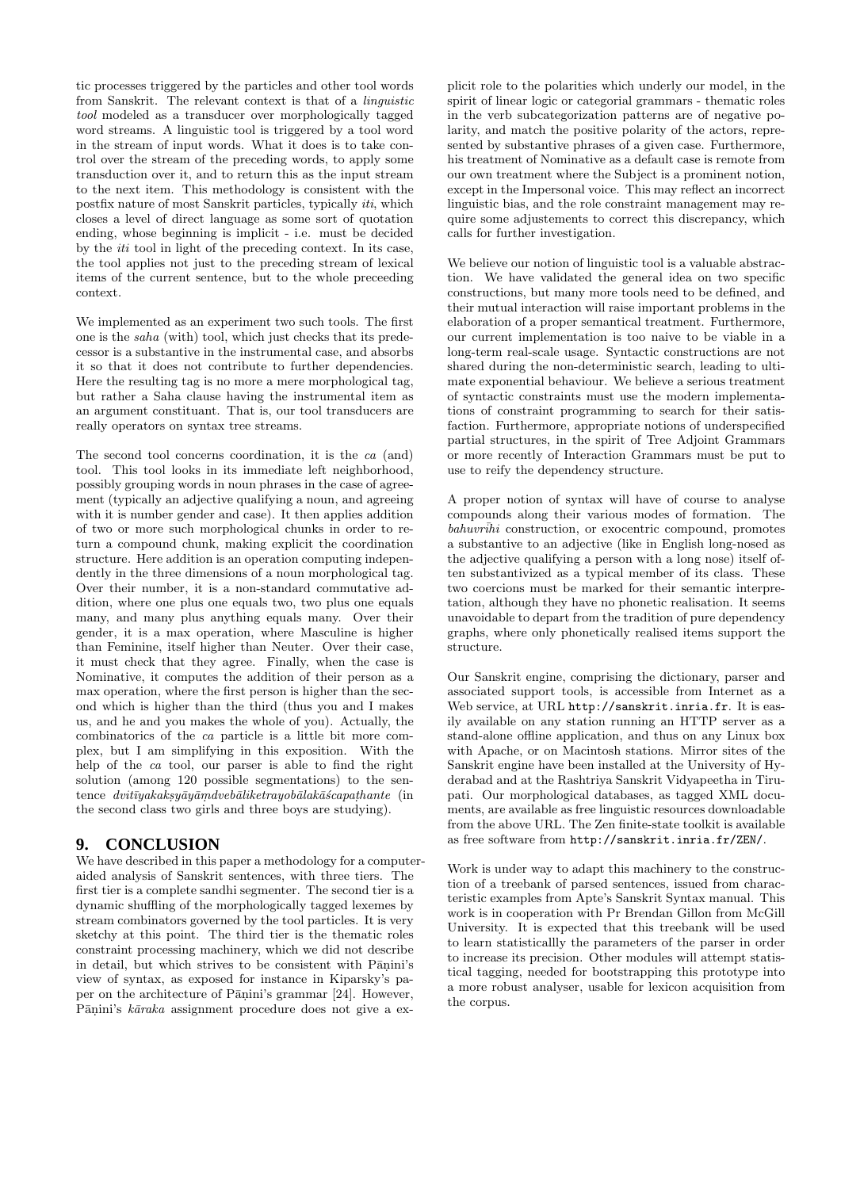tic processes triggered by the particles and other tool words from Sanskrit. The relevant context is that of a linguistic tool modeled as a transducer over morphologically tagged word streams. A linguistic tool is triggered by a tool word in the stream of input words. What it does is to take control over the stream of the preceding words, to apply some transduction over it, and to return this as the input stream to the next item. This methodology is consistent with the postfix nature of most Sanskrit particles, typically iti, which closes a level of direct language as some sort of quotation ending, whose beginning is implicit - i.e. must be decided by the iti tool in light of the preceding context. In its case, the tool applies not just to the preceding stream of lexical items of the current sentence, but to the whole preceeding context.

We implemented as an experiment two such tools. The first one is the saha (with) tool, which just checks that its predecessor is a substantive in the instrumental case, and absorbs it so that it does not contribute to further dependencies. Here the resulting tag is no more a mere morphological tag, but rather a Saha clause having the instrumental item as an argument constituant. That is, our tool transducers are really operators on syntax tree streams.

The second tool concerns coordination, it is the ca (and) tool. This tool looks in its immediate left neighborhood, possibly grouping words in noun phrases in the case of agreement (typically an adjective qualifying a noun, and agreeing with it is number gender and case). It then applies addition of two or more such morphological chunks in order to return a compound chunk, making explicit the coordination structure. Here addition is an operation computing independently in the three dimensions of a noun morphological tag. Over their number, it is a non-standard commutative addition, where one plus one equals two, two plus one equals many, and many plus anything equals many. Over their gender, it is a max operation, where Masculine is higher than Feminine, itself higher than Neuter. Over their case, it must check that they agree. Finally, when the case is Nominative, it computes the addition of their person as a max operation, where the first person is higher than the second which is higher than the third (thus you and I makes us, and he and you makes the whole of you). Actually, the combinatorics of the ca particle is a little bit more complex, but I am simplifying in this exposition. With the help of the ca tool, our parser is able to find the right solution (among 120 possible segmentations) to the sentence dvitīyakaksyāyāmdvebāliketrayobālakāścapathante (in the second class two girls and three boys are studying).

### **9. CONCLUSION**

We have described in this paper a methodology for a computeraided analysis of Sanskrit sentences, with three tiers. The first tier is a complete sandhi segmenter. The second tier is a dynamic shuffling of the morphologically tagged lexemes by stream combinators governed by the tool particles. It is very sketchy at this point. The third tier is the thematic roles constraint processing machinery, which we did not describe in detail, but which strives to be consistent with Pāṇini's view of syntax, as exposed for instance in Kiparsky's paper on the architecture of Pāṇini's grammar [24]. However, Pāṇini's kāraka assignment procedure does not give a ex-

plicit role to the polarities which underly our model, in the spirit of linear logic or categorial grammars - thematic roles in the verb subcategorization patterns are of negative polarity, and match the positive polarity of the actors, represented by substantive phrases of a given case. Furthermore, his treatment of Nominative as a default case is remote from our own treatment where the Subject is a prominent notion, except in the Impersonal voice. This may reflect an incorrect linguistic bias, and the role constraint management may require some adjustements to correct this discrepancy, which calls for further investigation.

We believe our notion of linguistic tool is a valuable abstraction. We have validated the general idea on two specific constructions, but many more tools need to be defined, and their mutual interaction will raise important problems in the elaboration of a proper semantical treatment. Furthermore, our current implementation is too naive to be viable in a long-term real-scale usage. Syntactic constructions are not shared during the non-deterministic search, leading to ultimate exponential behaviour. We believe a serious treatment of syntactic constraints must use the modern implementations of constraint programming to search for their satisfaction. Furthermore, appropriate notions of underspecified partial structures, in the spirit of Tree Adjoint Grammars or more recently of Interaction Grammars must be put to use to reify the dependency structure.

A proper notion of syntax will have of course to analyse compounds along their various modes of formation. The  $bahuvr\bar{h}i$  construction, or exocentric compound, promotes a substantive to an adjective (like in English long-nosed as the adjective qualifying a person with a long nose) itself often substantivized as a typical member of its class. These two coercions must be marked for their semantic interpretation, although they have no phonetic realisation. It seems unavoidable to depart from the tradition of pure dependency graphs, where only phonetically realised items support the structure.

Our Sanskrit engine, comprising the dictionary, parser and associated support tools, is accessible from Internet as a Web service, at URL http://sanskrit.inria.fr. It is easily available on any station running an HTTP server as a stand-alone offline application, and thus on any Linux box with Apache, or on Macintosh stations. Mirror sites of the Sanskrit engine have been installed at the University of Hyderabad and at the Rashtriya Sanskrit Vidyapeetha in Tirupati. Our morphological databases, as tagged XML documents, are available as free linguistic resources downloadable from the above URL. The Zen finite-state toolkit is available as free software from http://sanskrit.inria.fr/ZEN/.

Work is under way to adapt this machinery to the construction of a treebank of parsed sentences, issued from characteristic examples from Apte's Sanskrit Syntax manual. This work is in cooperation with Pr Brendan Gillon from McGill University. It is expected that this treebank will be used to learn statisticallly the parameters of the parser in order to increase its precision. Other modules will attempt statistical tagging, needed for bootstrapping this prototype into a more robust analyser, usable for lexicon acquisition from the corpus.